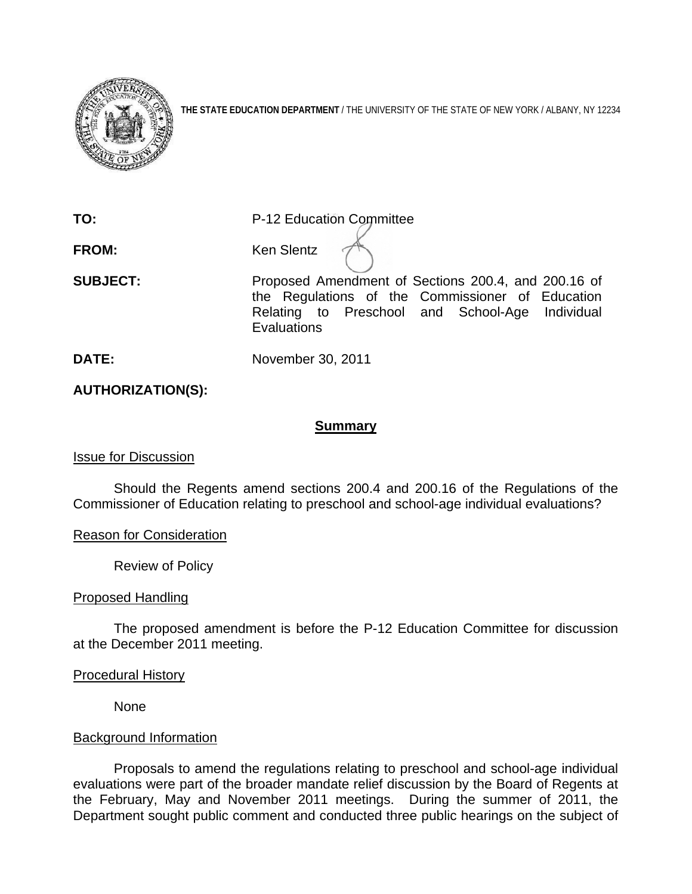

**THE STATE EDUCATION DEPARTMENT** / THE UNIVERSITY OF THE STATE OF NEW YORK / ALBANY, NY 12234

**TO:** P-12 Education Committee

**FROM:** Ken Slentz

**SUBJECT:** Proposed Amendment of Sections 200.4, and 200.16 of the Regulations of the Commissioner of Education Relating to Preschool and School-Age Individual Evaluations

**DATE:** November 30, 2011

# **AUTHORIZATION(S):**

# **Summary**

## **Issue for Discussion**

 Should the Regents amend sections 200.4 and 200.16 of the Regulations of the Commissioner of Education relating to preschool and school-age individual evaluations?

## Reason for Consideration

Review of Policy

## Proposed Handling

The proposed amendment is before the P-12 Education Committee for discussion at the December 2011 meeting.

Procedural History

None

# Background Information

Proposals to amend the regulations relating to preschool and school-age individual evaluations were part of the broader mandate relief discussion by the Board of Regents at the February, May and November 2011 meetings. During the summer of 2011, the Department sought public comment and conducted three public hearings on the subject of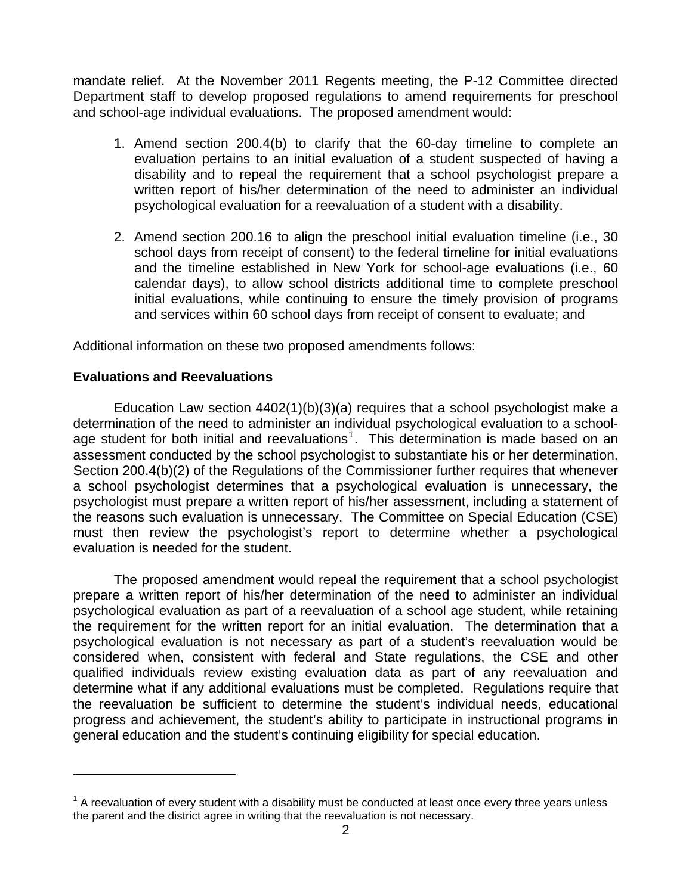mandate relief. At the November 2011 Regents meeting, the P-12 Committee directed Department staff to develop proposed regulations to amend requirements for preschool and school-age individual evaluations. The proposed amendment would:

- 1. Amend section 200.4(b) to clarify that the 60-day timeline to complete an evaluation pertains to an initial evaluation of a student suspected of having a disability and to repeal the requirement that a school psychologist prepare a written report of his/her determination of the need to administer an individual psychological evaluation for a reevaluation of a student with a disability.
- 2. Amend section 200.16 to align the preschool initial evaluation timeline (i.e., 30 school days from receipt of consent) to the federal timeline for initial evaluations and the timeline established in New York for school-age evaluations (i.e., 60 calendar days), to allow school districts additional time to complete preschool initial evaluations, while continuing to ensure the timely provision of programs and services within 60 school days from receipt of consent to evaluate; and

Additional information on these two proposed amendments follows:

## **Evaluations and Reevaluations**

 $\overline{a}$ 

 Education Law section 4402(1)(b)(3)(a) requires that a school psychologist make a determination of the need to administer an individual psychological evaluation to a school-age student for both initial and reevaluations<sup>[1](#page-1-0)</sup>. This determination is made based on an assessment conducted by the school psychologist to substantiate his or her determination. Section 200.4(b)(2) of the Regulations of the Commissioner further requires that whenever a school psychologist determines that a psychological evaluation is unnecessary, the psychologist must prepare a written report of his/her assessment, including a statement of the reasons such evaluation is unnecessary. The Committee on Special Education (CSE) must then review the psychologist's report to determine whether a psychological evaluation is needed for the student.

 The proposed amendment would repeal the requirement that a school psychologist prepare a written report of his/her determination of the need to administer an individual psychological evaluation as part of a reevaluation of a school age student, while retaining the requirement for the written report for an initial evaluation. The determination that a psychological evaluation is not necessary as part of a student's reevaluation would be considered when, consistent with federal and State regulations, the CSE and other qualified individuals review existing evaluation data as part of any reevaluation and determine what if any additional evaluations must be completed. Regulations require that the reevaluation be sufficient to determine the student's individual needs, educational progress and achievement, the student's ability to participate in instructional programs in general education and the student's continuing eligibility for special education.

<span id="page-1-0"></span> $1$  A reevaluation of every student with a disability must be conducted at least once every three years unless the parent and the district agree in writing that the reevaluation is not necessary.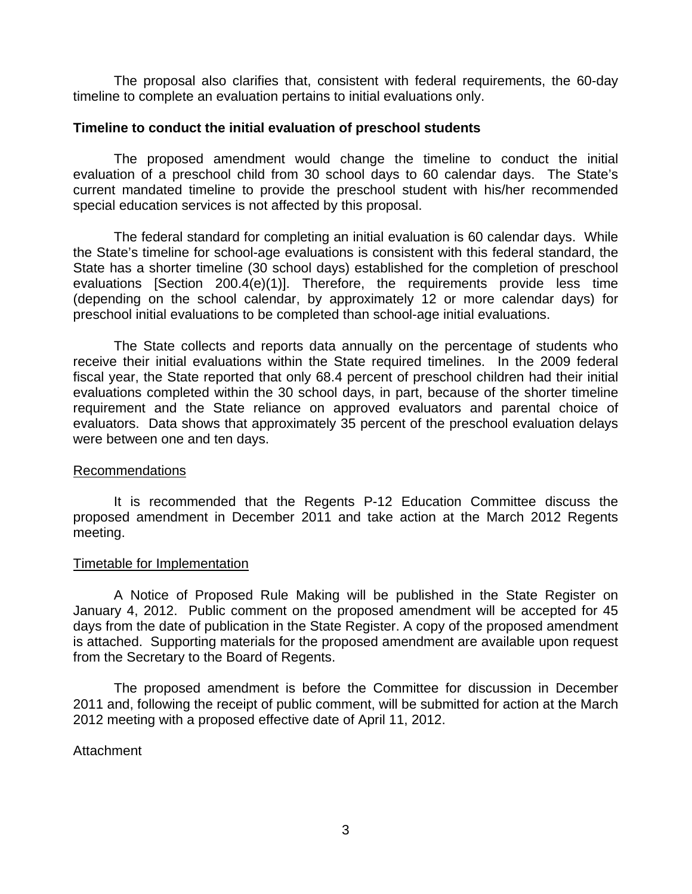The proposal also clarifies that, consistent with federal requirements, the 60-day timeline to complete an evaluation pertains to initial evaluations only.

## **Timeline to conduct the initial evaluation of preschool students**

The proposed amendment would change the timeline to conduct the initial evaluation of a preschool child from 30 school days to 60 calendar days. The State's current mandated timeline to provide the preschool student with his/her recommended special education services is not affected by this proposal.

The federal standard for completing an initial evaluation is 60 calendar days. While the State's timeline for school-age evaluations is consistent with this federal standard, the State has a shorter timeline (30 school days) established for the completion of preschool evaluations [Section 200.4(e)(1)]. Therefore, the requirements provide less time (depending on the school calendar, by approximately 12 or more calendar days) for preschool initial evaluations to be completed than school-age initial evaluations.

The State collects and reports data annually on the percentage of students who receive their initial evaluations within the State required timelines. In the 2009 federal fiscal year, the State reported that only 68.4 percent of preschool children had their initial evaluations completed within the 30 school days, in part, because of the shorter timeline requirement and the State reliance on approved evaluators and parental choice of evaluators. Data shows that approximately 35 percent of the preschool evaluation delays were between one and ten days.

## Recommendations

 It is recommended that the Regents P-12 Education Committee discuss the proposed amendment in December 2011 and take action at the March 2012 Regents meeting.

## Timetable for Implementation

 A Notice of Proposed Rule Making will be published in the State Register on January 4, 2012. Public comment on the proposed amendment will be accepted for 45 days from the date of publication in the State Register. A copy of the proposed amendment is attached. Supporting materials for the proposed amendment are available upon request from the Secretary to the Board of Regents.

The proposed amendment is before the Committee for discussion in December 2011 and, following the receipt of public comment, will be submitted for action at the March 2012 meeting with a proposed effective date of April 11, 2012.

# Attachment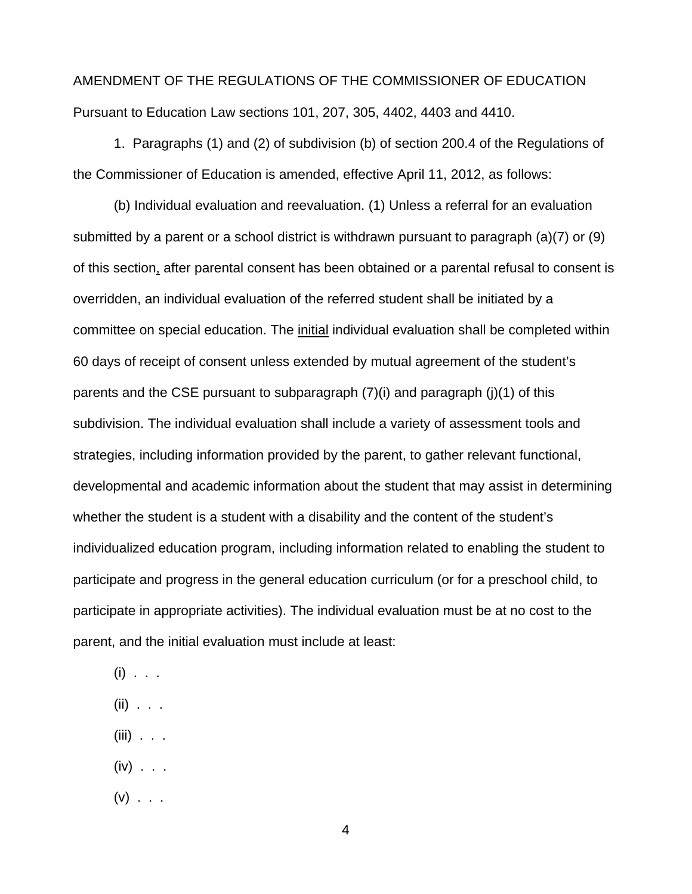# AMENDMENT OF THE REGULATIONS OF THE COMMISSIONER OF EDUCATION Pursuant to Education Law sections 101, 207, 305, 4402, 4403 and 4410.

1. Paragraphs (1) and (2) of subdivision (b) of section 200.4 of the Regulations of the Commissioner of Education is amended, effective April 11, 2012, as follows:

 (b) Individual evaluation and reevaluation. (1) Unless a referral for an evaluation submitted by a parent or a school district is withdrawn pursuant to paragraph (a)(7) or (9) of this section, after parental consent has been obtained or a parental refusal to consent is overridden, an individual evaluation of the referred student shall be initiated by a committee on special education. The initial individual evaluation shall be completed within 60 days of receipt of consent unless extended by mutual agreement of the student's parents and the CSE pursuant to subparagraph (7)(i) and paragraph (j)(1) of this subdivision. The individual evaluation shall include a variety of assessment tools and strategies, including information provided by the parent, to gather relevant functional, developmental and academic information about the student that may assist in determining whether the student is a student with a disability and the content of the student's individualized education program, including information related to enabling the student to participate and progress in the general education curriculum (or for a preschool child, to participate in appropriate activities). The individual evaluation must be at no cost to the parent, and the initial evaluation must include at least:

- $(i)$  . . .
- $(ii)$  . . .
- $(iii)$  . . .
- $(iv)$  . . .
- $(v)$  . . .

4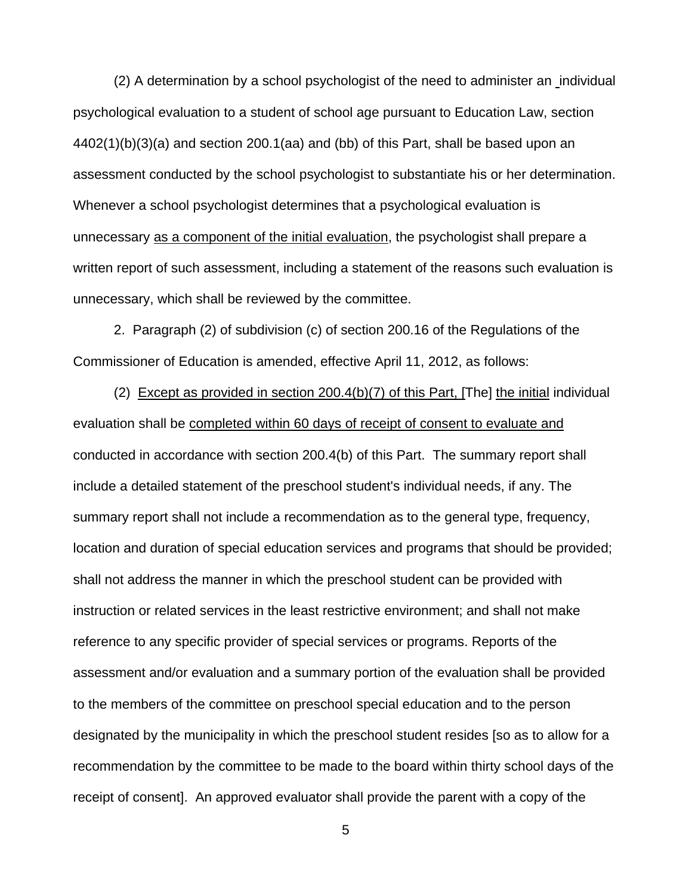(2) A determination by a school psychologist of the need to administer an individual psychological evaluation to a student of school age pursuant to Education Law, section 4402(1)(b)(3)(a) and section 200.1(aa) and (bb) of this Part, shall be based upon an assessment conducted by the school psychologist to substantiate his or her determination. Whenever a school psychologist determines that a psychological evaluation is unnecessary as a component of the initial evaluation, the psychologist shall prepare a written report of such assessment, including a statement of the reasons such evaluation is unnecessary, which shall be reviewed by the committee.

2. Paragraph (2) of subdivision (c) of section 200.16 of the Regulations of the Commissioner of Education is amended, effective April 11, 2012, as follows:

(2) Except as provided in section 200.4(b)(7) of this Part, [The] the initial individual evaluation shall be completed within 60 days of receipt of consent to evaluate and conducted in accordance with section 200.4(b) of this Part. The summary report shall include a detailed statement of the preschool student's individual needs, if any. The summary report shall not include a recommendation as to the general type, frequency, location and duration of special education services and programs that should be provided; shall not address the manner in which the preschool student can be provided with instruction or related services in the least restrictive environment; and shall not make reference to any specific provider of special services or programs. Reports of the assessment and/or evaluation and a summary portion of the evaluation shall be provided to the members of the committee on preschool special education and to the person designated by the municipality in which the preschool student resides [so as to allow for a recommendation by the committee to be made to the board within thirty school days of the receipt of consent]. An approved evaluator shall provide the parent with a copy of the

5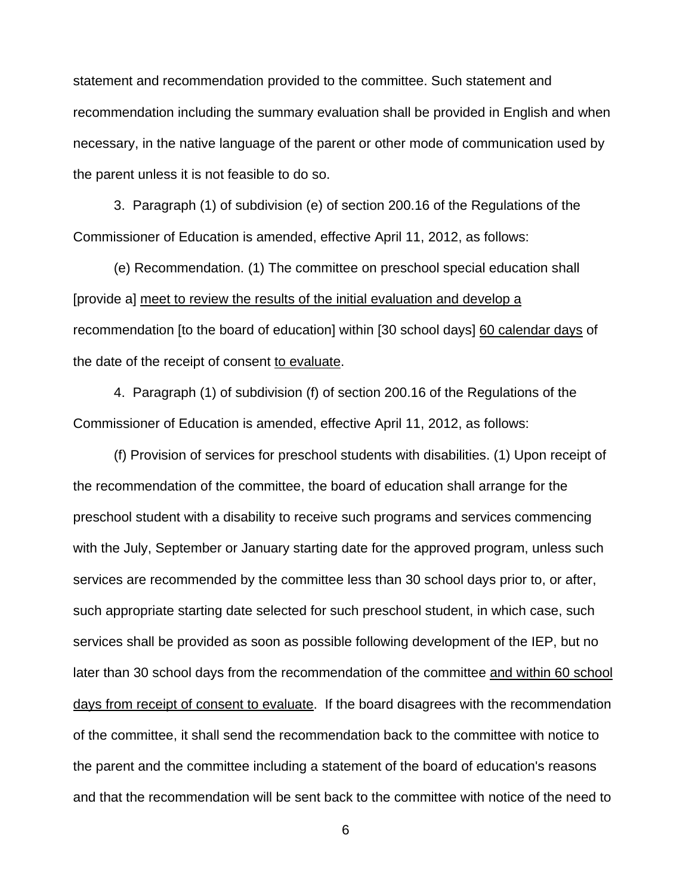statement and recommendation provided to the committee. Such statement and recommendation including the summary evaluation shall be provided in English and when necessary, in the native language of the parent or other mode of communication used by the parent unless it is not feasible to do so.

3. Paragraph (1) of subdivision (e) of section 200.16 of the Regulations of the Commissioner of Education is amended, effective April 11, 2012, as follows:

(e) Recommendation. (1) The committee on preschool special education shall [provide a] meet to review the results of the initial evaluation and develop a recommendation [to the board of education] within [30 school days] 60 calendar days of the date of the receipt of consent to evaluate.

4. Paragraph (1) of subdivision (f) of section 200.16 of the Regulations of the Commissioner of Education is amended, effective April 11, 2012, as follows:

 (f) Provision of services for preschool students with disabilities. (1) Upon receipt of the recommendation of the committee, the board of education shall arrange for the preschool student with a disability to receive such programs and services commencing with the July, September or January starting date for the approved program, unless such services are recommended by the committee less than 30 school days prior to, or after, such appropriate starting date selected for such preschool student, in which case, such services shall be provided as soon as possible following development of the IEP, but no later than 30 school days from the recommendation of the committee and within 60 school days from receipt of consent to evaluate. If the board disagrees with the recommendation of the committee, it shall send the recommendation back to the committee with notice to the parent and the committee including a statement of the board of education's reasons and that the recommendation will be sent back to the committee with notice of the need to

6